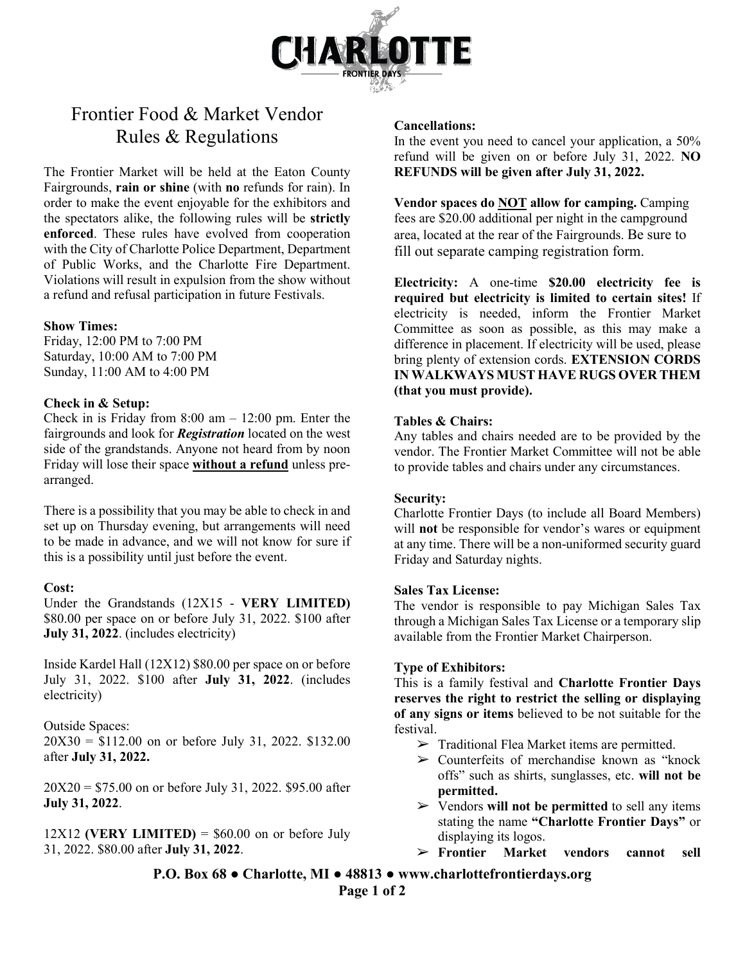

# Frontier Food & Market Vendor Rules & Regulations

The Frontier Market will be held at the Eaton County Fairgrounds, **rain or shine** (with **no** refunds for rain). In order to make the event enjoyable for the exhibitors and the spectators alike, the following rules will be **strictly enforced**. These rules have evolved from cooperation with the City of Charlotte Police Department, Department of Public Works, and the Charlotte Fire Department. Violations will result in expulsion from the show without a refund and refusal participation in future Festivals.

## **Show Times:**

Friday, 12:00 PM to 7:00 PM Saturday, 10:00 AM to 7:00 PM Sunday, 11:00 AM to 4:00 PM

## **Check in & Setup:**

Check in is Friday from  $8:00$  am  $- 12:00$  pm. Enter the fairgrounds and look for *Registration* located on the west side of the grandstands. Anyone not heard from by noon Friday will lose their space **without a refund** unless prearranged.

There is a possibility that you may be able to check in and set up on Thursday evening, but arrangements will need to be made in advance, and we will not know for sure if this is a possibility until just before the event.

#### **Cost:**

Under the Grandstands (12X15 - **VERY LIMITED)** \$80.00 per space on or before July 31, 2022. \$100 after **July 31, 2022**. (includes electricity)

Inside Kardel Hall (12X12) \$80.00 per space on or before July 31, 2022. \$100 after **July 31, 2022**. (includes electricity)

# Outside Spaces:

20X30 = \$112.00 on or before July 31, 2022. \$132.00 after **July 31, 2022.**

20X20 = \$75.00 on or before July 31, 2022. \$95.00 after **July 31, 2022**.

 $12X12$  (VERY LIMITED) =  $$60.00$  on or before July 31, 2022. \$80.00 after **July 31, 2022**.

#### **Cancellations:**

In the event you need to cancel your application, a 50% refund will be given on or before July 31, 2022. **NO REFUNDS will be given after July 31, 2022.**

**Vendor spaces do NOT allow for camping.** Camping fees are \$20.00 additional per night in the campground area, located at the rear of the Fairgrounds. Be sure to fill out separate camping registration form.

**Electricity:** A one-time **\$20.00 electricity fee is required but electricity is limited to certain sites!** If electricity is needed, inform the Frontier Market Committee as soon as possible, as this may make a difference in placement. If electricity will be used, please bring plenty of extension cords. **EXTENSION CORDS IN WALKWAYS MUST HAVE RUGS OVER THEM (that you must provide).**

# **Tables & Chairs:**

Any tables and chairs needed are to be provided by the vendor. The Frontier Market Committee will not be able to provide tables and chairs under any circumstances.

#### **Security:**

Charlotte Frontier Days (to include all Board Members) will **not** be responsible for vendor's wares or equipment at any time. There will be a non-uniformed security guard Friday and Saturday nights.

# **Sales Tax License:**

The vendor is responsible to pay Michigan Sales Tax through a Michigan Sales Tax License or a temporary slip available from the Frontier Market Chairperson.

#### **Type of Exhibitors:**

This is a family festival and **Charlotte Frontier Days reserves the right to restrict the selling or displaying of any signs or items** believed to be not suitable for the festival.

- $\triangleright$  Traditional Flea Market items are permitted.
- ➢ Counterfeits of merchandise known as "knock offs" such as shirts, sunglasses, etc. **will not be permitted.**
- ➢ Vendors **will not be permitted** to sell any items stating the name **"Charlotte Frontier Days"** or displaying its logos.
- ➢ **Frontier Market vendors cannot sell**

**P.O. Box 68 ● Charlotte, MI ● 48813 ● www.charlottefrontierdays.org**